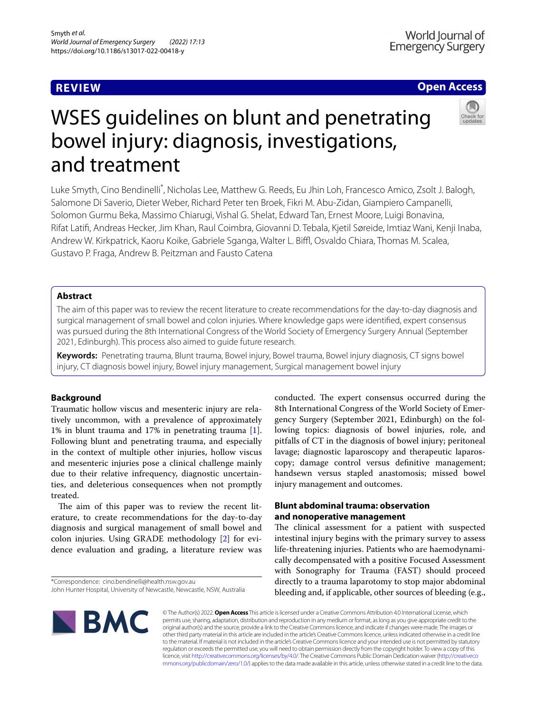## **REVIEW**

# **Open Access**

# WSES guidelines on blunt and penetrating bowel injury: diagnosis, investigations, and treatment

Luke Smyth, Cino Bendinelli\* , Nicholas Lee, Matthew G. Reeds, Eu Jhin Loh, Francesco Amico, Zsolt J. Balogh, Salomone Di Saverio, Dieter Weber, Richard Peter ten Broek, Fikri M. Abu‑Zidan, Giampiero Campanelli, Solomon Gurmu Beka, Massimo Chiarugi, Vishal G. Shelat, Edward Tan, Ernest Moore, Luigi Bonavina, Rifat Latif, Andreas Hecker, Jim Khan, Raul Coimbra, Giovanni D. Tebala, Kjetil Søreide, Imtiaz Wani, Kenji Inaba, Andrew W. Kirkpatrick, Kaoru Koike, Gabriele Sganga, Walter L. Biffl, Osvaldo Chiara, Thomas M. Scalea, Gustavo P. Fraga, Andrew B. Peitzman and Fausto Catena

## **Abstract**

The aim of this paper was to review the recent literature to create recommendations for the day-to-day diagnosis and surgical management of small bowel and colon injuries. Where knowledge gaps were identifed, expert consensus was pursued during the 8th International Congress of the World Society of Emergency Surgery Annual (September 2021, Edinburgh). This process also aimed to guide future research.

**Keywords:** Penetrating trauma, Blunt trauma, Bowel injury, Bowel trauma, Bowel injury diagnosis, CT signs bowel injury, CT diagnosis bowel injury, Bowel injury management, Surgical management bowel injury

## **Background**

Traumatic hollow viscus and mesenteric injury are relatively uncommon, with a prevalence of approximately 1% in blunt trauma and 17% in penetrating trauma [1]. Following blunt and penetrating trauma, and especially in the context of multiple other injuries, hollow viscus and mesenteric injuries pose a clinical challenge mainly due to their relative infrequency, diagnostic uncertainties, and deleterious consequences when not promptly treated.

The aim of this paper was to review the recent literature, to create recommendations for the day-to-day diagnosis and surgical management of small bowel and colon injuries. Using GRADE methodology [2] for evidence evaluation and grading, a literature review was

\*Correspondence: cino.bendinelli@health.nsw.gov.au

conducted. The expert consensus occurred during the 8th International Congress of the World Society of Emergency Surgery (September 2021, Edinburgh) on the following topics: diagnosis of bowel injuries, role, and pitfalls of CT in the diagnosis of bowel injury; peritoneal lavage; diagnostic laparoscopy and therapeutic laparoscopy; damage control versus defnitive management; handsewn versus stapled anastomosis; missed bowel injury management and outcomes.

## **Blunt abdominal trauma: observation and nonoperative management**

The clinical assessment for a patient with suspected intestinal injury begins with the primary survey to assess life-threatening injuries. Patients who are haemodynamically decompensated with a positive Focused Assessment with Sonography for Trauma (FAST) should proceed directly to a trauma laparotomy to stop major abdominal bleeding and, if applicable, other sources of bleeding (e.g.,



© The Author(s) 2022. **Open Access** This article is licensed under a Creative Commons Attribution 4.0 International License, which permits use, sharing, adaptation, distribution and reproduction in any medium or format, as long as you give appropriate credit to the original author(s) and the source, provide a link to the Creative Commons licence, and indicate if changes were made. The images or other third party material in this article are included in the article's Creative Commons licence, unless indicated otherwise in a credit line to the material. If material is not included in the article's Creative Commons licence and your intended use is not permitted by statutory regulation or exceeds the permitted use, you will need to obtain permission directly from the copyright holder. To view a copy of this licence, visit http://creativecommons.org/licenses/by/4.0/. The Creative Commons Public Domain Dedication waiver (http://creativeco mmons.org/publicdomain/zero/1.0/) applies to the data made available in this article, unless otherwise stated in a credit line to the data.

John Hunter Hospital, University of Newcastle, Newcastle, NSW, Australia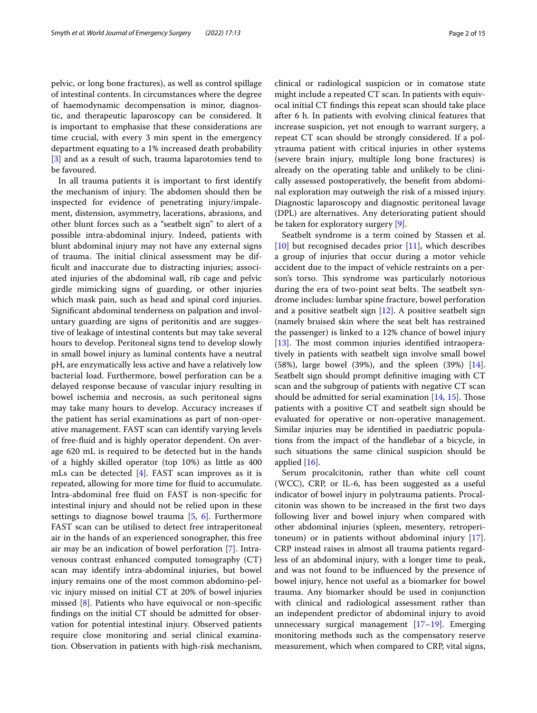pelvic, or long bone fractures), as well as control spillage of intestinal contents. In circumstances where the degree of haemodynamic decompensation is minor, diagnostic, and therapeutic laparoscopy can be considered. It is important to emphasise that these considerations are time crucial, with every 3 min spent in the emergency department equating to a 1% increased death probability [3] and as a result of such, trauma laparotomies tend to be favoured.

In all trauma patients it is important to frst identify the mechanism of injury. The abdomen should then be inspected for evidence of penetrating injury/impalement, distension, asymmetry, lacerations, abrasions, and other blunt forces such as a "seatbelt sign" to alert of a possible intra-abdominal injury. Indeed, patients with blunt abdominal injury may not have any external signs of trauma. The initial clinical assessment may be diffcult and inaccurate due to distracting injuries; associated injuries of the abdominal wall, rib cage and pelvic girdle mimicking signs of guarding, or other injuries which mask pain, such as head and spinal cord injuries. Signifcant abdominal tenderness on palpation and involuntary guarding are signs of peritonitis and are suggestive of leakage of intestinal contents but may take several hours to develop. Peritoneal signs tend to develop slowly in small bowel injury as luminal contents have a neutral pH, are enzymatically less active and have a relatively low bacterial load. Furthermore, bowel perforation can be a delayed response because of vascular injury resulting in bowel ischemia and necrosis, as such peritoneal signs may take many hours to develop. Accuracy increases if the patient has serial examinations as part of non-operative management. FAST scan can identify varying levels of free-fuid and is highly operator dependent. On average 620 mL is required to be detected but in the hands of a highly skilled operator (top 10%) as little as 400 mLs can be detected [4]. FAST scan improves as it is repeated, allowing for more time for fuid to accumulate. Intra-abdominal free fuid on FAST is non-specifc for intestinal injury and should not be relied upon in these settings to diagnose bowel trauma [5, 6]. Furthermore FAST scan can be utilised to detect free intraperitoneal air in the hands of an experienced sonographer, this free air may be an indication of bowel perforation [7]. Intravenous contrast enhanced computed tomography (CT) scan may identify intra-abdominal injuries, but bowel injury remains one of the most common abdomino-pelvic injury missed on initial CT at 20% of bowel injuries missed [8]. Patients who have equivocal or non-specifc fndings on the initial CT should be admitted for observation for potential intestinal injury. Observed patients require close monitoring and serial clinical examination. Observation in patients with high-risk mechanism,

clinical or radiological suspicion or in comatose state might include a repeated CT scan. In patients with equivocal initial CT fndings this repeat scan should take place after 6 h. In patients with evolving clinical features that increase suspicion, yet not enough to warrant surgery, a repeat CT scan should be strongly considered. If a polytrauma patient with critical injuries in other systems (severe brain injury, multiple long bone fractures) is already on the operating table and unlikely to be clinically assessed postoperatively, the beneft from abdominal exploration may outweigh the risk of a missed injury. Diagnostic laparoscopy and diagnostic peritoneal lavage (DPL) are alternatives. Any deteriorating patient should be taken for exploratory surgery [9].

Seatbelt syndrome is a term coined by Stassen et al. [10] but recognised decades prior [11], which describes a group of injuries that occur during a motor vehicle accident due to the impact of vehicle restraints on a person's torso. This syndrome was particularly notorious during the era of two-point seat belts. The seatbelt syndrome includes: lumbar spine fracture, bowel perforation and a positive seatbelt sign  $[12]$ . A positive seatbelt sign (namely bruised skin where the seat belt has restrained the passenger) is linked to a 12% chance of bowel injury [13]. The most common injuries identified intraoperatively in patients with seatbelt sign involve small bowel (58%), large bowel (39%), and the spleen (39%) [14]. Seatbelt sign should prompt defnitive imaging with CT scan and the subgroup of patients with negative CT scan should be admitted for serial examination  $[14, 15]$ . Those patients with a positive CT and seatbelt sign should be evaluated for operative or non-operative management. Similar injuries may be identifed in paediatric populations from the impact of the handlebar of a bicycle, in such situations the same clinical suspicion should be applied [16].

Serum procalcitonin, rather than white cell count (WCC), CRP, or IL-6, has been suggested as a useful indicator of bowel injury in polytrauma patients. Procalcitonin was shown to be increased in the frst two days following liver and bowel injury when compared with other abdominal injuries (spleen, mesentery, retroperitoneum) or in patients without abdominal injury [17]. CRP instead raises in almost all trauma patients regardless of an abdominal injury, with a longer time to peak, and was not found to be infuenced by the presence of bowel injury, hence not useful as a biomarker for bowel trauma. Any biomarker should be used in conjunction with clinical and radiological assessment rather than an independent predictor of abdominal injury to avoid unnecessary surgical management [17–19]. Emerging monitoring methods such as the compensatory reserve measurement, which when compared to CRP, vital signs,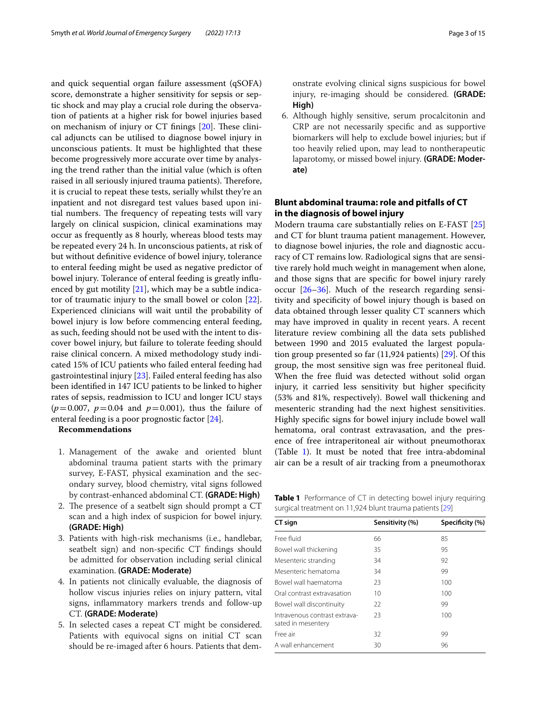and quick sequential organ failure assessment (qSOFA) score, demonstrate a higher sensitivity for sepsis or septic shock and may play a crucial role during the observation of patients at a higher risk for bowel injuries based on mechanism of injury or  $CT$  finings  $[20]$ . These clinical adjuncts can be utilised to diagnose bowel injury in unconscious patients. It must be highlighted that these become progressively more accurate over time by analysing the trend rather than the initial value (which is often raised in all seriously injured trauma patients). Therefore, it is crucial to repeat these tests, serially whilst they're an inpatient and not disregard test values based upon initial numbers. The frequency of repeating tests will vary largely on clinical suspicion, clinical examinations may occur as frequently as 8 hourly, whereas blood tests may be repeated every 24 h. In unconscious patients, at risk of but without defnitive evidence of bowel injury, tolerance to enteral feeding might be used as negative predictor of bowel injury. Tolerance of enteral feeding is greatly infuenced by gut motility [21], which may be a subtle indicator of traumatic injury to the small bowel or colon [22]. Experienced clinicians will wait until the probability of bowel injury is low before commencing enteral feeding, as such, feeding should not be used with the intent to discover bowel injury, but failure to tolerate feeding should raise clinical concern. A mixed methodology study indicated 15% of ICU patients who failed enteral feeding had gastrointestinal injury [23]. Failed enteral feeding has also been identifed in 147 ICU patients to be linked to higher rates of sepsis, readmission to ICU and longer ICU stays  $(p=0.007, p=0.04$  and  $p=0.001$ ), thus the failure of enteral feeding is a poor prognostic factor [24].

### **Recommendations**

- 1. Management of the awake and oriented blunt abdominal trauma patient starts with the primary survey, E-FAST, physical examination and the secondary survey, blood chemistry, vital signs followed by contrast-enhanced abdominal CT. **(GRADE: High)**
- 2. The presence of a seatbelt sign should prompt a CT scan and a high index of suspicion for bowel injury. **(GRADE: High)**
- 3. Patients with high-risk mechanisms (i.e., handlebar, seatbelt sign) and non-specifc CT fndings should be admitted for observation including serial clinical examination. **(GRADE: Moderate)**
- 4. In patients not clinically evaluable, the diagnosis of hollow viscus injuries relies on injury pattern, vital signs, infammatory markers trends and follow-up CT. **(GRADE: Moderate)**
- 5. In selected cases a repeat CT might be considered. Patients with equivocal signs on initial CT scan should be re-imaged after 6 hours. Patients that dem-

onstrate evolving clinical signs suspicious for bowel injury, re-imaging should be considered. **(GRADE: High)**

6. Although highly sensitive, serum procalcitonin and CRP are not necessarily specifc and as supportive biomarkers will help to exclude bowel injuries; but if too heavily relied upon, may lead to nontherapeutic laparotomy, or missed bowel injury. **(GRADE: Moderate)**

## **Blunt abdominal trauma: role and pitfalls of CT in the diagnosis of bowel injury**

Modern trauma care substantially relies on E-FAST [25] and CT for blunt trauma patient management. However, to diagnose bowel injuries, the role and diagnostic accuracy of CT remains low. Radiological signs that are sensitive rarely hold much weight in management when alone, and those signs that are specifc for bowel injury rarely occur [26–36]. Much of the research regarding sensitivity and specifcity of bowel injury though is based on data obtained through lesser quality CT scanners which may have improved in quality in recent years. A recent literature review combining all the data sets published between 1990 and 2015 evaluated the largest population group presented so far (11,924 patients) [29]. Of this group, the most sensitive sign was free peritoneal fuid. When the free fuid was detected without solid organ injury, it carried less sensitivity but higher specifcity (53% and 81%, respectively). Bowel wall thickening and mesenteric stranding had the next highest sensitivities. Highly specifc signs for bowel injury include bowel wall hematoma, oral contrast extravasation, and the presence of free intraperitoneal air without pneumothorax (Table 1). It must be noted that free intra-abdominal air can be a result of air tracking from a pneumothorax

**Table 1** Performance of CT in detecting bowel injury requiring surgical treatment on 11,924 blunt trauma patients [29]

| CT sign                                             | Sensitivity (%) | Specificity (%) |
|-----------------------------------------------------|-----------------|-----------------|
| Free fluid                                          | 66              | 85              |
| Bowel wall thickening                               | 35              | 95              |
| Mesenteric stranding                                | 34              | 92              |
| Mesenteric hematoma                                 | 34              | 99              |
| Bowel wall haematoma                                | 23              | 100             |
| Oral contrast extravasation                         | 10              | 100             |
| Bowel wall discontinuity                            | 22              | 99              |
| Intravenous contrast extrava-<br>sated in mesentery | 23              | 100             |
| Free air                                            | 32              | 99              |
| A wall enhancement                                  | 30              | 96              |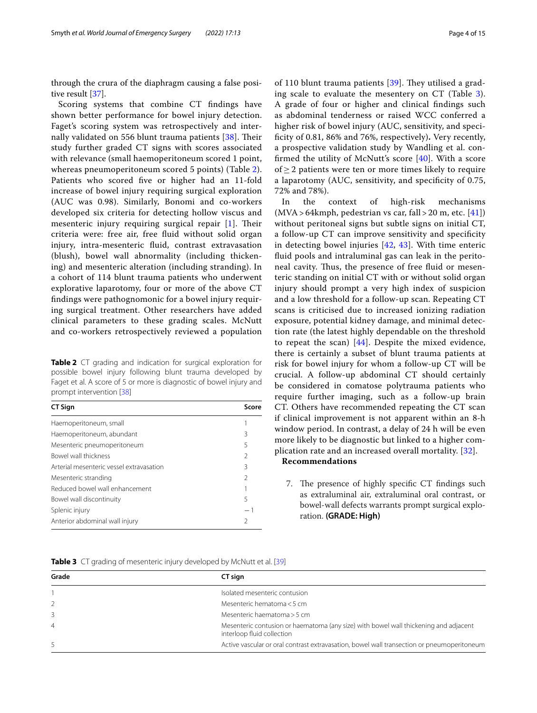through the crura of the diaphragm causing a false positive result [37].

Scoring systems that combine CT fndings have shown better performance for bowel injury detection. Faget's scoring system was retrospectively and internally validated on 556 blunt trauma patients  $[38]$ . Their study further graded CT signs with scores associated with relevance (small haemoperitoneum scored 1 point, whereas pneumoperitoneum scored 5 points) (Table 2). Patients who scored fve or higher had an 11-fold increase of bowel injury requiring surgical exploration (AUC was 0.98). Similarly, Bonomi and co-workers developed six criteria for detecting hollow viscus and mesenteric injury requiring surgical repair  $[1]$ . Their criteria were: free air, free fuid without solid organ injury, intra-mesenteric fuid, contrast extravasation (blush), bowel wall abnormality (including thickening) and mesenteric alteration (including stranding). In a cohort of 114 blunt trauma patients who underwent explorative laparotomy, four or more of the above CT fndings were pathognomonic for a bowel injury requiring surgical treatment. Other researchers have added clinical parameters to these grading scales. McNutt and co-workers retrospectively reviewed a population

**Table 2** CT grading and indication for surgical exploration for possible bowel injury following blunt trauma developed by Faget et al. A score of 5 or more is diagnostic of bowel injury and prompt intervention [38]

| <b>CT Sign</b>                           | Score          |
|------------------------------------------|----------------|
| Haemoperitoneum, small                   |                |
| Haemoperitoneum, abundant                | 3              |
| Mesenteric pneumoperitoneum              | 5              |
| Bowel wall thickness                     | $\mathfrak{D}$ |
| Arterial mesenteric vessel extravasation | 3              |
| Mesenteric stranding                     | $\mathfrak{D}$ |
| Reduced bowel wall enhancement           |                |
| Bowel wall discontinuity                 | 5              |
| Splenic injury                           |                |
| Anterior abdominal wall injury           | $\mathfrak{D}$ |
|                                          |                |

of 110 blunt trauma patients  $[39]$ . They utilised a grading scale to evaluate the mesentery on CT (Table 3). A grade of four or higher and clinical fndings such as abdominal tenderness or raised WCC conferred a higher risk of bowel injury (AUC, sensitivity, and specifcity of 0.81, 86% and 76%, respectively)**.** Very recently, a prospective validation study by Wandling et al. confirmed the utility of McNutt's score  $[40]$ . With a score of  $\geq$  2 patients were ten or more times likely to require a laparotomy (AUC, sensitivity, and specifcity of 0.75, 72% and 78%).

In the context of high-risk mechanisms  $(MVA > 64k$ mph, pedestrian vs car, fall > 20 m, etc. [41]) without peritoneal signs but subtle signs on initial CT, a follow-up CT can improve sensitivity and specifcity in detecting bowel injuries [42, 43]. With time enteric fuid pools and intraluminal gas can leak in the peritoneal cavity. Thus, the presence of free fluid or mesenteric standing on initial CT with or without solid organ injury should prompt a very high index of suspicion and a low threshold for a follow-up scan. Repeating CT scans is criticised due to increased ionizing radiation exposure, potential kidney damage, and minimal detection rate (the latest highly dependable on the threshold to repeat the scan)  $[44]$ . Despite the mixed evidence, there is certainly a subset of blunt trauma patients at risk for bowel injury for whom a follow-up CT will be crucial. A follow-up abdominal CT should certainly be considered in comatose polytrauma patients who require further imaging, such as a follow-up brain CT. Others have recommended repeating the CT scan if clinical improvement is not apparent within an 8-h window period. In contrast, a delay of 24 h will be even more likely to be diagnostic but linked to a higher complication rate and an increased overall mortality. [32]. **Recommendations**

7. The presence of highly specific CT findings such as extraluminal air, extraluminal oral contrast, or bowel-wall defects warrants prompt surgical exploration. **(GRADE: High)**

**Table 3** CT grading of mesenteric injury developed by McNutt et al. [39]

| Grade          | CT sign                                                                                                            |
|----------------|--------------------------------------------------------------------------------------------------------------------|
|                | Isolated mesenteric contusion                                                                                      |
| $\overline{2}$ | Mesenteric hematoma < 5 cm                                                                                         |
|                | Mesenteric haematoma > 5 cm                                                                                        |
| $\overline{4}$ | Mesenteric contusion or haematoma (any size) with bowel wall thickening and adjacent<br>interloop fluid collection |
|                | Active vascular or oral contrast extravasation, bowel wall transection or pneumoperitoneum                         |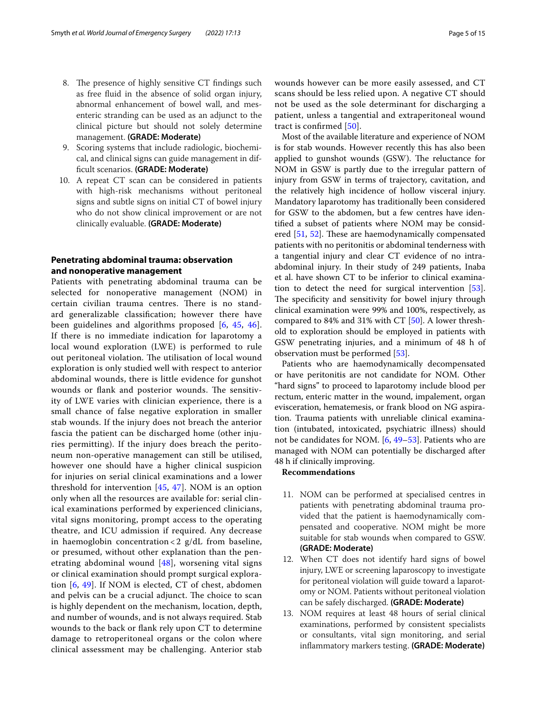- 8. The presence of highly sensitive CT findings such as free fuid in the absence of solid organ injury, abnormal enhancement of bowel wall, and mesenteric stranding can be used as an adjunct to the clinical picture but should not solely determine management. **(GRADE: Moderate)**
- 9. Scoring systems that include radiologic, biochemical, and clinical signs can guide management in diffcult scenarios. **(GRADE: Moderate)**
- 10. A repeat CT scan can be considered in patients with high-risk mechanisms without peritoneal signs and subtle signs on initial CT of bowel injury who do not show clinical improvement or are not clinically evaluable. **(GRADE: Moderate)**

## **Penetrating abdominal trauma: observation and nonoperative management**

Patients with penetrating abdominal trauma can be selected for nonoperative management (NOM) in certain civilian trauma centres. There is no standard generalizable classifcation; however there have been guidelines and algorithms proposed [6, 45, 46]. If there is no immediate indication for laparotomy a local wound exploration (LWE) is performed to rule out peritoneal violation. The utilisation of local wound exploration is only studied well with respect to anterior abdominal wounds, there is little evidence for gunshot wounds or flank and posterior wounds. The sensitivity of LWE varies with clinician experience, there is a small chance of false negative exploration in smaller stab wounds. If the injury does not breach the anterior fascia the patient can be discharged home (other injuries permitting). If the injury does breach the peritoneum non-operative management can still be utilised, however one should have a higher clinical suspicion for injuries on serial clinical examinations and a lower threshold for intervention [45, 47]. NOM is an option only when all the resources are available for: serial clinical examinations performed by experienced clinicians, vital signs monitoring, prompt access to the operating theatre, and ICU admission if required. Any decrease in haemoglobin concentration < 2  $g/dL$  from baseline, or presumed, without other explanation than the penetrating abdominal wound [48], worsening vital signs or clinical examination should prompt surgical exploration [6, 49]. If NOM is elected, CT of chest, abdomen and pelvis can be a crucial adjunct. The choice to scan is highly dependent on the mechanism, location, depth, and number of wounds, and is not always required. Stab wounds to the back or fank rely upon CT to determine damage to retroperitoneal organs or the colon where clinical assessment may be challenging. Anterior stab wounds however can be more easily assessed, and CT scans should be less relied upon. A negative CT should not be used as the sole determinant for discharging a patient, unless a tangential and extraperitoneal wound tract is confrmed [50].

Most of the available literature and experience of NOM is for stab wounds. However recently this has also been applied to gunshot wounds (GSW). The reluctance for NOM in GSW is partly due to the irregular pattern of injury from GSW in terms of trajectory, cavitation, and the relatively high incidence of hollow visceral injury. Mandatory laparotomy has traditionally been considered for GSW to the abdomen, but a few centres have identifed a subset of patients where NOM may be considered  $[51, 52]$ . These are haemodynamically compensated patients with no peritonitis or abdominal tenderness with a tangential injury and clear CT evidence of no intraabdominal injury. In their study of 249 patients, Inaba et al. have shown CT to be inferior to clinical examination to detect the need for surgical intervention [53]. The specificity and sensitivity for bowel injury through clinical examination were 99% and 100%, respectively, as compared to 84% and 31% with CT [50]. A lower threshold to exploration should be employed in patients with GSW penetrating injuries, and a minimum of 48 h of observation must be performed [53].

Patients who are haemodynamically decompensated or have peritonitis are not candidate for NOM. Other "hard signs" to proceed to laparotomy include blood per rectum, enteric matter in the wound, impalement, organ evisceration, hematemesis, or frank blood on NG aspiration. Trauma patients with unreliable clinical examination (intubated, intoxicated, psychiatric illness) should not be candidates for NOM. [6, 49–53]. Patients who are managed with NOM can potentially be discharged after 48 h if clinically improving.

### **Recommendations**

- 11. NOM can be performed at specialised centres in patients with penetrating abdominal trauma provided that the patient is haemodynamically compensated and cooperative. NOM might be more suitable for stab wounds when compared to GSW. **(GRADE: Moderate)**
- 12. When CT does not identify hard signs of bowel injury, LWE or screening laparoscopy to investigate for peritoneal violation will guide toward a laparotomy or NOM. Patients without peritoneal violation can be safely discharged. **(GRADE: Moderate)**
- 13. NOM requires at least 48 hours of serial clinical examinations, performed by consistent specialists or consultants, vital sign monitoring, and serial infammatory markers testing. **(GRADE: Moderate)**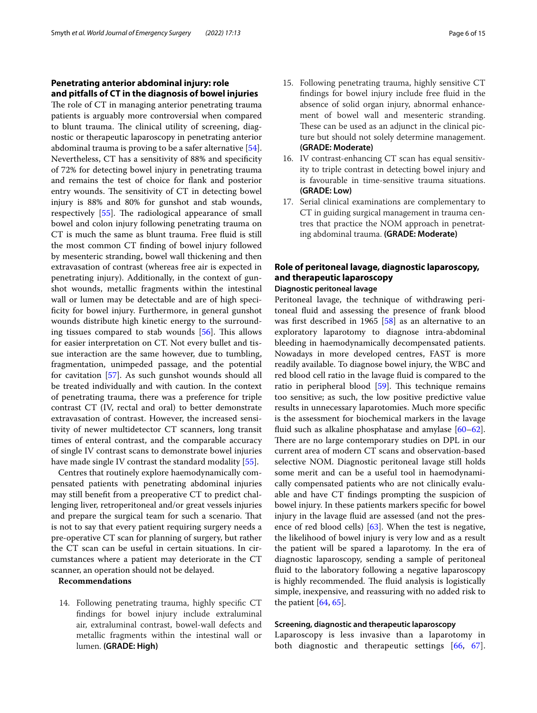## **Penetrating anterior abdominal injury: role and pitfalls of CT in the diagnosis of bowel injuries**

The role of CT in managing anterior penetrating trauma patients is arguably more controversial when compared to blunt trauma. The clinical utility of screening, diagnostic or therapeutic laparoscopy in penetrating anterior abdominal trauma is proving to be a safer alternative [54]. Nevertheless, CT has a sensitivity of 88% and specifcity of 72% for detecting bowel injury in penetrating trauma and remains the test of choice for fank and posterior entry wounds. The sensitivity of CT in detecting bowel injury is 88% and 80% for gunshot and stab wounds, respectively  $[55]$ . The radiological appearance of small bowel and colon injury following penetrating trauma on CT is much the same as blunt trauma. Free fuid is still the most common CT fnding of bowel injury followed by mesenteric stranding, bowel wall thickening and then extravasation of contrast (whereas free air is expected in penetrating injury). Additionally, in the context of gunshot wounds, metallic fragments within the intestinal wall or lumen may be detectable and are of high specificity for bowel injury. Furthermore, in general gunshot wounds distribute high kinetic energy to the surrounding tissues compared to stab wounds  $[56]$ . This allows for easier interpretation on CT. Not every bullet and tissue interaction are the same however, due to tumbling, fragmentation, unimpeded passage, and the potential for cavitation [57]. As such gunshot wounds should all be treated individually and with caution. In the context of penetrating trauma, there was a preference for triple contrast CT (IV, rectal and oral) to better demonstrate extravasation of contrast. However, the increased sensitivity of newer multidetector CT scanners, long transit times of enteral contrast, and the comparable accuracy of single IV contrast scans to demonstrate bowel injuries have made single IV contrast the standard modality [55].

Centres that routinely explore haemodynamically compensated patients with penetrating abdominal injuries may still beneft from a preoperative CT to predict challenging liver, retroperitoneal and/or great vessels injuries and prepare the surgical team for such a scenario. That is not to say that every patient requiring surgery needs a pre-operative CT scan for planning of surgery, but rather the CT scan can be useful in certain situations. In circumstances where a patient may deteriorate in the CT scanner, an operation should not be delayed.

#### **Recommendations**

14. Following penetrating trauma, highly specifc CT fndings for bowel injury include extraluminal air, extraluminal contrast, bowel-wall defects and metallic fragments within the intestinal wall or lumen. **(GRADE: High)**

- 15. Following penetrating trauma, highly sensitive CT fndings for bowel injury include free fuid in the absence of solid organ injury, abnormal enhancement of bowel wall and mesenteric stranding. These can be used as an adjunct in the clinical picture but should not solely determine management. **(GRADE: Moderate)**
- 16. IV contrast-enhancing CT scan has equal sensitivity to triple contrast in detecting bowel injury and is favourable in time-sensitive trauma situations. **(GRADE: Low)**
- 17. Serial clinical examinations are complementary to CT in guiding surgical management in trauma centres that practice the NOM approach in penetrating abdominal trauma. **(GRADE: Moderate)**

# **Role of peritoneal lavage, diagnostic laparoscopy, and therapeutic laparoscopy**

## **Diagnostic peritoneal lavage**

Peritoneal lavage, the technique of withdrawing peritoneal fuid and assessing the presence of frank blood was frst described in 1965 [58] as an alternative to an exploratory laparotomy to diagnose intra-abdominal bleeding in haemodynamically decompensated patients. Nowadays in more developed centres, FAST is more readily available. To diagnose bowel injury, the WBC and red blood cell ratio in the lavage fuid is compared to the ratio in peripheral blood  $[59]$ . This technique remains too sensitive; as such, the low positive predictive value results in unnecessary laparotomies. Much more specifc is the assessment for biochemical markers in the lavage fuid such as alkaline phosphatase and amylase [60–62]. There are no large contemporary studies on DPL in our current area of modern CT scans and observation-based selective NOM. Diagnostic peritoneal lavage still holds some merit and can be a useful tool in haemodynamically compensated patients who are not clinically evaluable and have CT fndings prompting the suspicion of bowel injury. In these patients markers specifc for bowel injury in the lavage fluid are assessed (and not the presence of red blood cells) [63]. When the test is negative, the likelihood of bowel injury is very low and as a result the patient will be spared a laparotomy. In the era of diagnostic laparoscopy, sending a sample of peritoneal fuid to the laboratory following a negative laparoscopy is highly recommended. The fluid analysis is logistically simple, inexpensive, and reassuring with no added risk to the patient  $[64, 65]$ .

#### **Screening, diagnostic and therapeutic laparoscopy**

Laparoscopy is less invasive than a laparotomy in both diagnostic and therapeutic settings [66, 67].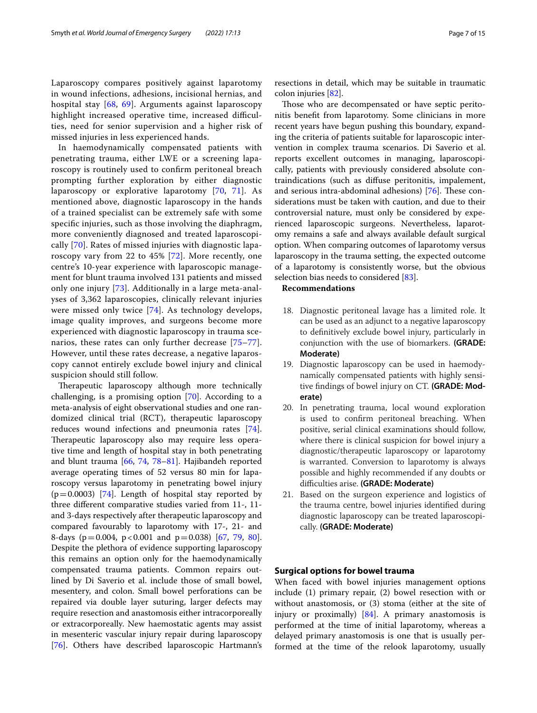Laparoscopy compares positively against laparotomy in wound infections, adhesions, incisional hernias, and hospital stay [68, 69]. Arguments against laparoscopy highlight increased operative time, increased difficulties, need for senior supervision and a higher risk of missed injuries in less experienced hands.

In haemodynamically compensated patients with penetrating trauma, either LWE or a screening laparoscopy is routinely used to confrm peritoneal breach prompting further exploration by either diagnostic laparoscopy or explorative laparotomy [70, 71]. As mentioned above, diagnostic laparoscopy in the hands of a trained specialist can be extremely safe with some specifc injuries, such as those involving the diaphragm, more conveniently diagnosed and treated laparoscopically [70]. Rates of missed injuries with diagnostic laparoscopy vary from 22 to 45% [72]. More recently, one centre's 10-year experience with laparoscopic management for blunt trauma involved 131 patients and missed only one injury [73]. Additionally in a large meta-analyses of 3,362 laparoscopies, clinically relevant injuries were missed only twice [74]. As technology develops, image quality improves, and surgeons become more experienced with diagnostic laparoscopy in trauma scenarios, these rates can only further decrease [75–77]. However, until these rates decrease, a negative laparoscopy cannot entirely exclude bowel injury and clinical suspicion should still follow.

Therapeutic laparoscopy although more technically challenging, is a promising option [70]. According to a meta-analysis of eight observational studies and one randomized clinical trial (RCT), therapeutic laparoscopy reduces wound infections and pneumonia rates [74]. Therapeutic laparoscopy also may require less operative time and length of hospital stay in both penetrating and blunt trauma [66, 74, 78–81]. Hajibandeh reported average operating times of 52 versus 80 min for laparoscopy versus laparotomy in penetrating bowel injury  $(p=0.0003)$  [74]. Length of hospital stay reported by three diferent comparative studies varied from 11-, 11 and 3-days respectively after therapeutic laparoscopy and compared favourably to laparotomy with 17-, 21- and 8-days ( $p = 0.004$ ,  $p < 0.001$  and  $p = 0.038$ ) [67, 79, 80]. Despite the plethora of evidence supporting laparoscopy this remains an option only for the haemodynamically compensated trauma patients. Common repairs outlined by Di Saverio et al. include those of small bowel, mesentery, and colon. Small bowel perforations can be repaired via double layer suturing, larger defects may require resection and anastomosis either intracorporeally or extracorporeally. New haemostatic agents may assist in mesenteric vascular injury repair during laparoscopy [76]. Others have described laparoscopic Hartmann's resections in detail, which may be suitable in traumatic colon injuries [82].

Those who are decompensated or have septic peritonitis beneft from laparotomy. Some clinicians in more recent years have begun pushing this boundary, expanding the criteria of patients suitable for laparoscopic intervention in complex trauma scenarios. Di Saverio et al. reports excellent outcomes in managing, laparoscopically, patients with previously considered absolute contraindications (such as difuse peritonitis, impalement, and serious intra-abdominal adhesions)  $[76]$ . These considerations must be taken with caution, and due to their controversial nature, must only be considered by experienced laparoscopic surgeons. Nevertheless, laparotomy remains a safe and always available default surgical option. When comparing outcomes of laparotomy versus laparoscopy in the trauma setting, the expected outcome of a laparotomy is consistently worse, but the obvious selection bias needs to considered [83].

#### **Recommendations**

- 18. Diagnostic peritoneal lavage has a limited role. It can be used as an adjunct to a negative laparoscopy to defnitively exclude bowel injury, particularly in conjunction with the use of biomarkers. **(GRADE: Moderate)**
- 19. Diagnostic laparoscopy can be used in haemodynamically compensated patients with highly sensitive fndings of bowel injury on CT. **(GRADE: Moderate)**
- 20. In penetrating trauma, local wound exploration is used to confrm peritoneal breaching. When positive, serial clinical examinations should follow, where there is clinical suspicion for bowel injury a diagnostic/therapeutic laparoscopy or laparotomy is warranted. Conversion to laparotomy is always possible and highly recommended if any doubts or difculties arise. **(GRADE: Moderate)**
- 21. Based on the surgeon experience and logistics of the trauma centre, bowel injuries identifed during diagnostic laparoscopy can be treated laparoscopically. **(GRADE: Moderate)**

## **Surgical options for bowel trauma**

When faced with bowel injuries management options include (1) primary repair, (2) bowel resection with or without anastomosis, or (3) stoma (either at the site of injury or proximally) [84]. A primary anastomosis is performed at the time of initial laparotomy, whereas a delayed primary anastomosis is one that is usually performed at the time of the relook laparotomy, usually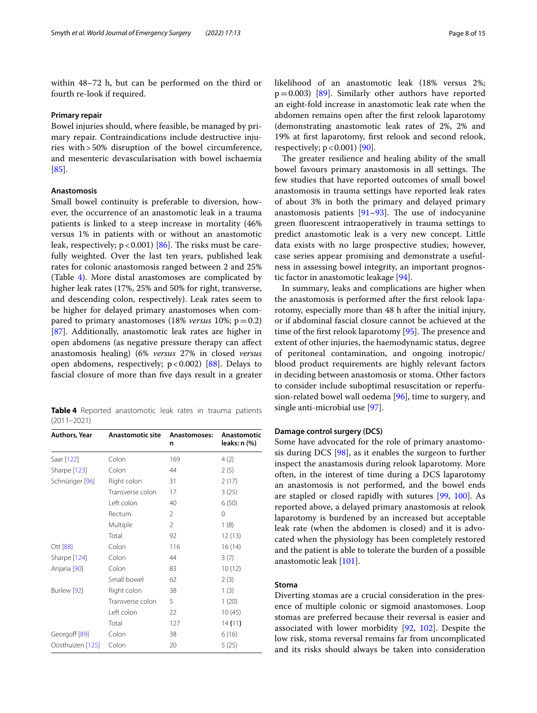within 48–72 h, but can be performed on the third or fourth re-look if required.

#### **Primary repair**

Bowel injuries should, where feasible, be managed by primary repair. Contraindications include destructive injuries with>50% disruption of the bowel circumference, and mesenteric devascularisation with bowel ischaemia [85].

#### **Anastomosis**

Small bowel continuity is preferable to diversion, however, the occurrence of an anastomotic leak in a trauma patients is linked to a steep increase in mortality (46% versus 1% in patients with or without an anastomotic leak, respectively;  $p < 0.001$ ) [86]. The risks must be carefully weighted. Over the last ten years, published leak rates for colonic anastomosis ranged between 2 and 25% (Table 4). More distal anastomoses are complicated by higher leak rates (17%, 25% and 50% for right, transverse, and descending colon, respectively). Leak rates seem to be higher for delayed primary anastomoses when compared to primary anastomoses  $(18\%$  *versus*  $10\%$ ;  $p=0.2$ ) [87]. Additionally, anastomotic leak rates are higher in open abdomens (as negative pressure therapy can afect anastomosis healing) (6% *versus* 27% in closed *versus* open abdomens, respectively;  $p < 0.002$ ) [88]. Delays to fascial closure of more than fve days result in a greater

**Table 4** Reported anastomotic leak rates in trauma patients (2011–2021)

| Authors, Year    | <b>Anastomotic site</b> | Anastomoses:<br>n | Anastomotic<br>leaks: n (%) |
|------------------|-------------------------|-------------------|-----------------------------|
| Saar [122]       | Colon                   | 169               | 4(2)                        |
| Sharpe [123]     | Colon                   | 44                | 2(5)                        |
| Schnüriger [96]  | Right colon             | 31                | 2(17)                       |
|                  | Transverse colon        | 17                | 3(25)                       |
|                  | Left colon              | 40                | 6(50)                       |
|                  | Rectum                  | 2                 | 0                           |
|                  | Multiple                | 2                 | 1(8)                        |
|                  | Total                   | 92                | 12(13)                      |
| Ott [88]         | Colon                   | 116               | 16(14)                      |
| Sharpe [124]     | Colon                   | 44                | 3(7)                        |
| Anjaria [90]     | Colon                   | 83                | 10(12)                      |
|                  | Small bowel             | 62                | 2(3)                        |
| Burlew [92]      | Right colon             | 38                | 1(3)                        |
|                  | Transverse colon        | 5                 | 1(20)                       |
|                  | Left colon              | 22                | 10(45)                      |
|                  | Total                   | 127               | 14(11)                      |
| Georgoff [89]    | Colon                   | 38                | 6(16)                       |
| Oosthuizen [125] | Colon                   | 20                | 5(25)                       |

The greater resilience and healing ability of the small bowel favours primary anastomosis in all settings. The few studies that have reported outcomes of small bowel anastomosis in trauma settings have reported leak rates of about 3% in both the primary and delayed primary anastomosis patients  $[91-93]$ . The use of indocyanine green fuorescent intraoperatively in trauma settings to predict anastomotic leak is a very new concept. Little data exists with no large prospective studies; however, case series appear promising and demonstrate a usefulness in assessing bowel integrity, an important prognostic factor in anastomotic leakage [94].

In summary, leaks and complications are higher when the anastomosis is performed after the frst relook laparotomy, especially more than 48 h after the initial injury, or if abdominal fascial closure cannot be achieved at the time of the first relook laparotomy  $[95]$ . The presence and extent of other injuries, the haemodynamic status, degree of peritoneal contamination, and ongoing inotropic/ blood product requirements are highly relevant factors in deciding between anastomosis or stoma. Other factors to consider include suboptimal resuscitation or reperfusion-related bowel wall oedema [96], time to surgery, and single anti-microbial use [97].

## **Damage control surgery (DCS)**

respectively;  $p < 0.001$  [90].

Some have advocated for the role of primary anastomosis during DCS [98], as it enables the surgeon to further inspect the anastamosis during relook laparotomy. More often, in the interest of time during a DCS laparotomy an anastomosis is not performed, and the bowel ends are stapled or closed rapidly with sutures [99, 100]. As reported above, a delayed primary anastomosis at relook laparotomy is burdened by an increased but acceptable leak rate (when the abdomen is closed) and it is advocated when the physiology has been completely restored and the patient is able to tolerate the burden of a possible anastomotic leak [101].

#### **Stoma**

Diverting stomas are a crucial consideration in the presence of multiple colonic or sigmoid anastomoses. Loop stomas are preferred because their reversal is easier and associated with lower morbidity [92, 102]. Despite the low risk, stoma reversal remains far from uncomplicated and its risks should always be taken into consideration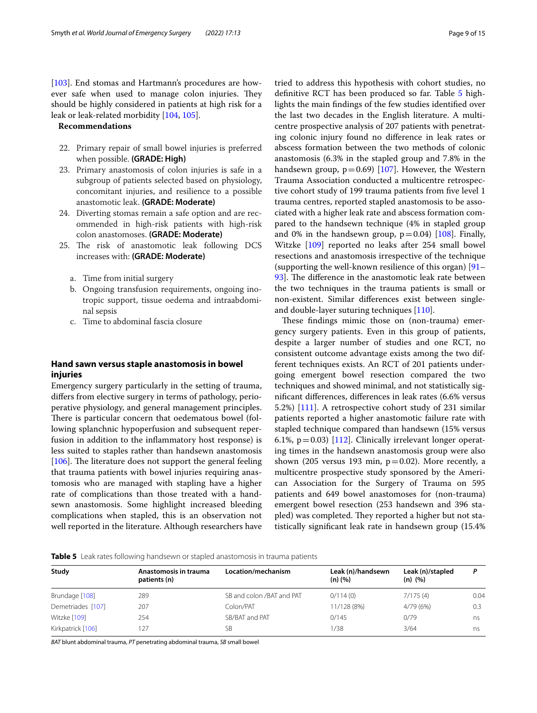[103]. End stomas and Hartmann's procedures are however safe when used to manage colon injuries. They should be highly considered in patients at high risk for a leak or leak-related morbidity [104, 105].

## **Recommendations**

- 22. Primary repair of small bowel injuries is preferred when possible. **(GRADE: High)**
- 23. Primary anastomosis of colon injuries is safe in a subgroup of patients selected based on physiology, concomitant injuries, and resilience to a possible anastomotic leak. **(GRADE: Moderate)**
- 24. Diverting stomas remain a safe option and are recommended in high-risk patients with high-risk colon anastomoses. **(GRADE: Moderate)**
- 25. The risk of anastomotic leak following DCS increases with: **(GRADE: Moderate)**
	- a. Time from initial surgery
	- b. Ongoing transfusion requirements, ongoing inotropic support, tissue oedema and intraabdominal sepsis
	- c. Time to abdominal fascia closure

## **Hand sawn versus staple anastomosis in bowel injuries**

Emergency surgery particularly in the setting of trauma, difers from elective surgery in terms of pathology, perioperative physiology, and general management principles. There is particular concern that oedematous bowel (following splanchnic hypoperfusion and subsequent reperfusion in addition to the infammatory host response) is less suited to staples rather than handsewn anastomosis [106]. The literature does not support the general feeling that trauma patients with bowel injuries requiring anastomosis who are managed with stapling have a higher rate of complications than those treated with a handsewn anastomosis. Some highlight increased bleeding complications when stapled, this is an observation not well reported in the literature. Although researchers have tried to address this hypothesis with cohort studies, no defnitive RCT has been produced so far. Table 5 highlights the main fndings of the few studies identifed over the last two decades in the English literature. A multicentre prospective analysis of 207 patients with penetrating colonic injury found no diference in leak rates or abscess formation between the two methods of colonic anastomosis (6.3% in the stapled group and 7.8% in the handsewn group,  $p=0.69$ ) [107]. However, the Western Trauma Association conducted a multicentre retrospective cohort study of 199 trauma patients from five level 1 trauma centres, reported stapled anastomosis to be associated with a higher leak rate and abscess formation compared to the handsewn technique (4% in stapled group and 0% in the handsewn group,  $p=0.04$ ) [108]. Finally, Witzke [109] reported no leaks after 254 small bowel resections and anastomosis irrespective of the technique (supporting the well-known resilience of this organ) [91– 93. The difference in the anastomotic leak rate between the two techniques in the trauma patients is small or non-existent. Similar diferences exist between singleand double-layer suturing techniques [110].

These findings mimic those on (non-trauma) emergency surgery patients. Even in this group of patients, despite a larger number of studies and one RCT, no consistent outcome advantage exists among the two different techniques exists. An RCT of 201 patients undergoing emergent bowel resection compared the two techniques and showed minimal, and not statistically signifcant diferences, diferences in leak rates (6.6% versus 5.2%) [111]. A retrospective cohort study of 231 similar patients reported a higher anastomotic failure rate with stapled technique compared than handsewn (15% versus 6.1%,  $p=0.03$ ) [112]. Clinically irrelevant longer operating times in the handsewn anastomosis group were also shown (205 versus 193 min,  $p=0.02$ ). More recently, a multicentre prospective study sponsored by the American Association for the Surgery of Trauma on 595 patients and 649 bowel anastomoses for (non-trauma) emergent bowel resection (253 handsewn and 396 stapled) was completed. They reported a higher but not statistically signifcant leak rate in handsewn group (15.4%

#### **Table 5** Leak rates following handsewn or stapled anastomosis in trauma patients

| Study             | Anastomosis in trauma<br>patients (n) | Location/mechanism        | Leak (n)/handsewn<br>$(n)$ $(%$ | Leak (n)/stapled<br>$(n)$ $(%$ |      |
|-------------------|---------------------------------------|---------------------------|---------------------------------|--------------------------------|------|
| Brundage [108]    | 289                                   | SB and colon /BAT and PAT | 0/114(0)                        | 7/175(4)                       | 0.04 |
| Demetriades [107] | 207                                   | Colon/PAT                 | 11/128 (8%)                     | 4/79(6%)                       | 0.3  |
| Witzke [109]      | 254                                   | SB/BAT and PAT            | 0/145                           | 0/79                           | ns   |
| Kirkpatrick [106] | 127                                   | <b>SB</b>                 | 1/38                            | 3/64                           | ns   |

*BAT* blunt abdominal trauma, *PT* penetrating abdominal trauma, *SB* small bowel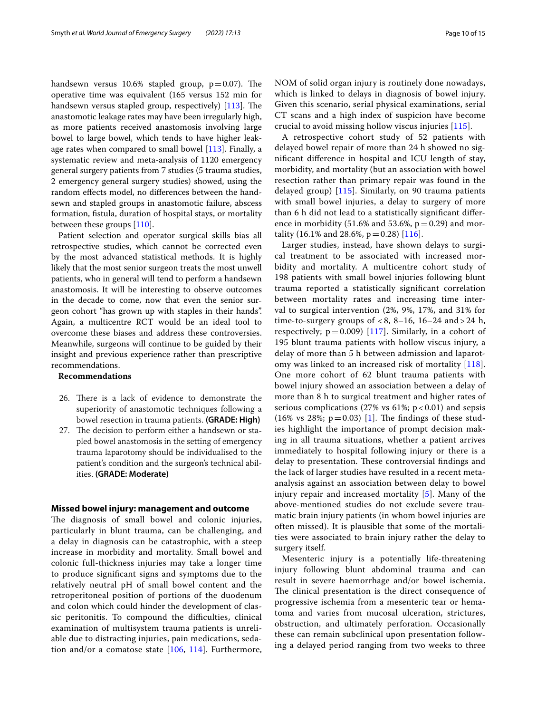handsewn versus 10.6% stapled group,  $p=0.07$ ). The operative time was equivalent (165 versus 152 min for handsewn versus stapled group, respectively)  $[113]$ . The anastomotic leakage rates may have been irregularly high, as more patients received anastomosis involving large bowel to large bowel, which tends to have higher leakage rates when compared to small bowel  $[113]$ . Finally, a systematic review and meta-analysis of 1120 emergency general surgery patients from 7 studies (5 trauma studies, 2 emergency general surgery studies) showed, using the random efects model, no diferences between the handsewn and stapled groups in anastomotic failure, abscess formation, fstula, duration of hospital stays, or mortality between these groups [110].

Patient selection and operator surgical skills bias all retrospective studies, which cannot be corrected even by the most advanced statistical methods. It is highly likely that the most senior surgeon treats the most unwell patients, who in general will tend to perform a handsewn anastomosis. It will be interesting to observe outcomes in the decade to come, now that even the senior surgeon cohort "has grown up with staples in their hands". Again, a multicentre RCT would be an ideal tool to overcome these biases and address these controversies. Meanwhile, surgeons will continue to be guided by their insight and previous experience rather than prescriptive recommendations.

## **Recommendations**

- 26. There is a lack of evidence to demonstrate the superiority of anastomotic techniques following a bowel resection in trauma patients. **(GRADE: High)**
- 27. The decision to perform either a handsewn or stapled bowel anastomosis in the setting of emergency trauma laparotomy should be individualised to the patient's condition and the surgeon's technical abilities. **(GRADE: Moderate)**

#### **Missed bowel injury: management and outcome**

The diagnosis of small bowel and colonic injuries, particularly in blunt trauma, can be challenging, and a delay in diagnosis can be catastrophic, with a steep increase in morbidity and mortality. Small bowel and colonic full-thickness injuries may take a longer time to produce signifcant signs and symptoms due to the relatively neutral pH of small bowel content and the retroperitoneal position of portions of the duodenum and colon which could hinder the development of classic peritonitis. To compound the difficulties, clinical examination of multisystem trauma patients is unreliable due to distracting injuries, pain medications, sedation and/or a comatose state [106, 114]. Furthermore, NOM of solid organ injury is routinely done nowadays, which is linked to delays in diagnosis of bowel injury. Given this scenario, serial physical examinations, serial CT scans and a high index of suspicion have become crucial to avoid missing hollow viscus injuries [115].

A retrospective cohort study of 52 patients with delayed bowel repair of more than 24 h showed no signifcant diference in hospital and ICU length of stay, morbidity, and mortality (but an association with bowel resection rather than primary repair was found in the delayed group) [115]. Similarly, on 90 trauma patients with small bowel injuries, a delay to surgery of more than 6 h did not lead to a statistically signifcant diference in morbidity (51.6% and 53.6%,  $p = 0.29$ ) and mortality (16.1% and 28.6%,  $p = 0.28$ ) [116].

Larger studies, instead, have shown delays to surgical treatment to be associated with increased morbidity and mortality. A multicentre cohort study of 198 patients with small bowel injuries following blunt trauma reported a statistically signifcant correlation between mortality rates and increasing time interval to surgical intervention (2%, 9%, 17%, and 31% for time-to-surgery groups of  $< 8$ , 8–16, 16–24 and  $> 24$  h, respectively;  $p=0.009$  [117]. Similarly, in a cohort of 195 blunt trauma patients with hollow viscus injury, a delay of more than 5 h between admission and laparotomy was linked to an increased risk of mortality [118]. One more cohort of 62 blunt trauma patients with bowel injury showed an association between a delay of more than 8 h to surgical treatment and higher rates of serious complications (27% vs 61%;  $p < 0.01$ ) and sepsis (16% vs 28%;  $p = 0.03$ ) [1]. The findings of these studies highlight the importance of prompt decision making in all trauma situations, whether a patient arrives immediately to hospital following injury or there is a delay to presentation. These controversial findings and the lack of larger studies have resulted in a recent metaanalysis against an association between delay to bowel injury repair and increased mortality [5]. Many of the above-mentioned studies do not exclude severe traumatic brain injury patients (in whom bowel injuries are often missed). It is plausible that some of the mortalities were associated to brain injury rather the delay to surgery itself.

Mesenteric injury is a potentially life-threatening injury following blunt abdominal trauma and can result in severe haemorrhage and/or bowel ischemia. The clinical presentation is the direct consequence of progressive ischemia from a mesenteric tear or hematoma and varies from mucosal ulceration, strictures, obstruction, and ultimately perforation. Occasionally these can remain subclinical upon presentation following a delayed period ranging from two weeks to three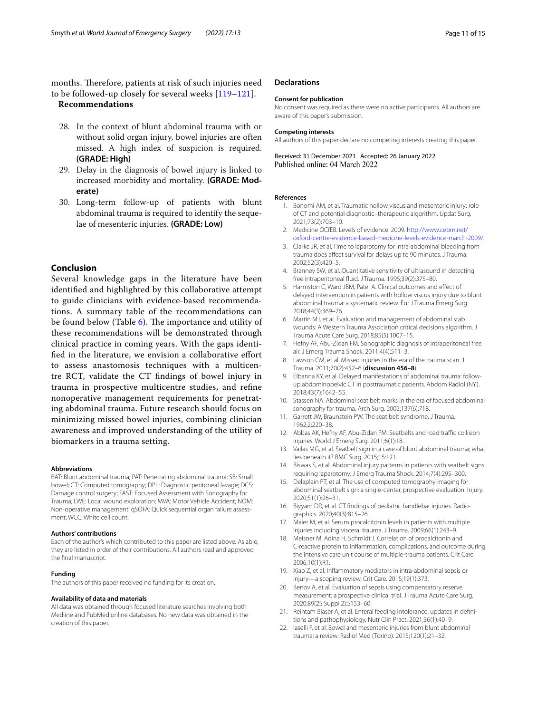months. Therefore, patients at risk of such injuries need to be followed-up closely for several weeks [119–121].

## **Recommendations**

- 28. In the context of blunt abdominal trauma with or without solid organ injury, bowel injuries are often missed. A high index of suspicion is required. **(GRADE: High)**
- 29. Delay in the diagnosis of bowel injury is linked to increased morbidity and mortality. **(GRADE: Moderate)**
- 30. Long-term follow-up of patients with blunt abdominal trauma is required to identify the sequelae of mesenteric injuries. **(GRADE: Low)**

## **Conclusion**

Several knowledge gaps in the literature have been identifed and highlighted by this collaborative attempt to guide clinicians with evidence-based recommendations. A summary table of the recommendations can be found below (Table  $6$ ). The importance and utility of these recommendations will be demonstrated through clinical practice in coming years. With the gaps identifed in the literature, we envision a collaborative efort to assess anastomosis techniques with a multicentre RCT, validate the CT fndings of bowel injury in trauma in prospective multicentre studies, and refne nonoperative management requirements for penetrating abdominal trauma. Future research should focus on minimizing missed bowel injuries, combining clinician awareness and improved understanding of the utility of biomarkers in a trauma setting.

#### **Abbreviations**

BAT: Blunt abdominal trauma; PAT: Penetrating abdominal trauma; SB: Small bowel; CT: Computed tomography; DPL: Diagnostic peritoneal lavage; DCS: Damage control surgery; FAST: Focused Assessment with Sonography for Trauma; LWE: Local wound exploration; MVA: Motor Vehicle Accident; NOM: Non-operative management; qSOFA: Quick sequential organ failure assessment; WCC: White cell count.

#### **Authors' contributions**

Each of the author's which contributed to this paper are listed above. As able, they are listed in order of their contributions. All authors read and approved the fnal manuscript.

#### **Funding**

The authors of this paper received no funding for its creation.

#### **Availability of data and materials**

All data was obtained through focused literature searches involving both Medline and PubMed online databases. No new data was obtained in the creation of this paper.

#### **Declarations**

#### **Consent for publication**

No consent was required as there were no active participants. All authors are aware of this paper's submission.

#### **Competing interests**

All authors of this paper declare no competing interests creating this paper.

Received: 31 December 2021 Accepted: 26 January 2022 Published online: 04 March 2022

#### **References**

- 1. Bonomi AM, et al. Traumatic hollow viscus and mesenteric injury: role of CT and potential diagnostic–therapeutic algorithm. Updat Surg. 2021;73(2):703–10.
- 2. Medicine OCfEB. Levels of evidence. 2009. http://www.cebm.net/ oxford-centre-evidence-based-medicine-levels-evidence-march-2009/.
- 3. Clarke JR, et al. Time to laparotomy for intra-abdominal bleeding from trauma does afect survival for delays up to 90 minutes. J Trauma. 2002;52(3):420–5.
- 4. Branney SW, et al. Quantitative sensitivity of ultrasound in detecting free intraperitoneal fuid. J Trauma. 1995;39(2):375–80.
- 5. Harmston C, Ward JBM, Patel A. Clinical outcomes and efect of delayed intervention in patients with hollow viscus injury due to blunt abdominal trauma: a systematic review. Eur J Trauma Emerg Surg. 2018;44(3):369–76.
- 6. Martin MJ, et al. Evaluation and management of abdominal stab wounds: A Western Trauma Association critical decisions algorithm. J Trauma Acute Care Surg. 2018;85(5):1007–15.
- 7. Hefny AF, Abu-Zidan FM. Sonographic diagnosis of intraperitoneal free air. J Emerg Trauma Shock. 2011;4(4):511–3.
- 8. Lawson CM, et al. Missed injuries in the era of the trauma scan. J Trauma. 2011;70(2):452–6 (**discussion 456–8**).
- 9. Elbanna KY, et al. Delayed manifestations of abdominal trauma: followup abdominopelvic CT in posttraumatic patients. Abdom Radiol (NY). 2018;43(7):1642–55.
- 10. Stassen NA. Abdominal seat belt marks in the era of focused abdominal sonography for trauma. Arch Surg. 2002;137(6):718.
- 11. Garrett JW, Braunstein PW. The seat belt syndrome. J Trauma. 1962;2:220–38.
- 12. Abbas AK, Hefny AF, Abu-Zidan FM. Seatbelts and road traffic collision injuries. World J Emerg Surg. 2011;6(1):18.
- 13. Vailas MG, et al. Seatbelt sign in a case of blunt abdominal trauma; what lies beneath it? BMC Surg. 2015;15:121.
- 14. Biswas S, et al. Abdominal injury patterns in patients with seatbelt signs requiring laparotomy. J Emerg Trauma Shock. 2014;7(4):295–300.
- 15. Delaplain PT, et al. The use of computed tomography imaging for abdominal seatbelt sign: a single-center, prospective evaluation. Injury. 2020;51(1):26–31.
- 16. Biyyam DR, et al. CT findings of pediatric handlebar injuries. Radiographics. 2020;40(3):815–26.
- 17. Maier M, et al. Serum procalcitonin levels in patients with multiple injuries including visceral trauma. J Trauma. 2009;66(1):243–9.
- 18. Meisner M, Adina H, Schmidt J. Correlation of procalcitonin and C-reactive protein to infammation, complications, and outcome during the intensive care unit course of multiple-trauma patients. Crit Care. 2006;10(1):R1.
- 19. Xiao Z, et al. Infammatory mediators in intra-abdominal sepsis or injury—a scoping review. Crit Care. 2015;19(1):373.
- 20. Benov A, et al. Evaluation of sepsis using compensatory reserve measurement: a prospective clinical trial. J Trauma Acute Care Surg. 2020;89(2S Suppl 2):S153–60.
- 21. Reintam Blaser A, et al. Enteral feeding intolerance: updates in definitions and pathophysiology. Nutr Clin Pract. 2021;36(1):40–9.
- 22. Iaselli F, et al. Bowel and mesenteric injuries from blunt abdominal trauma: a review. Radiol Med (Torino). 2015;120(1):21–32.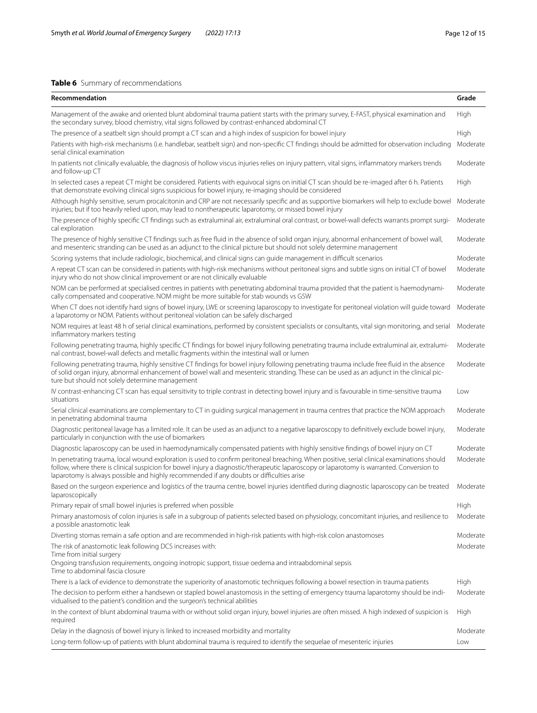## **Table 6** Summary of recommendations

| Recommendation                                                                                                                                                                                                                                                                                                                                                                      | Grade    |
|-------------------------------------------------------------------------------------------------------------------------------------------------------------------------------------------------------------------------------------------------------------------------------------------------------------------------------------------------------------------------------------|----------|
| Management of the awake and oriented blunt abdominal trauma patient starts with the primary survey, E-FAST, physical examination and<br>the secondary survey, blood chemistry, vital signs followed by contrast-enhanced abdominal CT                                                                                                                                               | High     |
| The presence of a seatbelt sign should prompt a CT scan and a high index of suspicion for bowel injury                                                                                                                                                                                                                                                                              | High     |
| Patients with high-risk mechanisms (i.e. handlebar, seatbelt sign) and non-specific CT findings should be admitted for observation including<br>serial clinical examination                                                                                                                                                                                                         | Moderate |
| In patients not clinically evaluable, the diagnosis of hollow viscus injuries relies on injury pattern, vital signs, inflammatory markers trends<br>and follow-up CT                                                                                                                                                                                                                | Moderate |
| In selected cases a repeat CT might be considered. Patients with equivocal signs on initial CT scan should be re-imaged after 6 h. Patients<br>that demonstrate evolving clinical signs suspicious for bowel injury, re-imaging should be considered                                                                                                                                | High     |
| Although highly sensitive, serum procalcitonin and CRP are not necessarily specific and as supportive biomarkers will help to exclude bowel<br>injuries; but if too heavily relied upon, may lead to nontherapeutic laparotomy, or missed bowel injury                                                                                                                              | Moderate |
| The presence of highly specific CT findings such as extraluminal air, extraluminal oral contrast, or bowel-wall defects warrants prompt surgi-<br>cal exploration                                                                                                                                                                                                                   | Moderate |
| The presence of highly sensitive CT findings such as free fluid in the absence of solid organ injury, abnormal enhancement of bowel wall,<br>and mesenteric stranding can be used as an adjunct to the clinical picture but should not solely determine management                                                                                                                  | Moderate |
| Scoring systems that include radiologic, biochemical, and clinical signs can guide management in difficult scenarios                                                                                                                                                                                                                                                                | Moderate |
| A repeat CT scan can be considered in patients with high-risk mechanisms without peritoneal signs and subtle signs on initial CT of bowel<br>injury who do not show clinical improvement or are not clinically evaluable                                                                                                                                                            | Moderate |
| NOM can be performed at specialised centres in patients with penetrating abdominal trauma provided that the patient is haemodynami-<br>cally compensated and cooperative. NOM might be more suitable for stab wounds vs GSW                                                                                                                                                         | Moderate |
| When CT does not identify hard signs of bowel injury, LWE or screening laparoscopy to investigate for peritoneal violation will guide toward<br>a laparotomy or NOM. Patients without peritoneal violation can be safely discharged                                                                                                                                                 | Moderate |
| NOM requires at least 48 h of serial clinical examinations, performed by consistent specialists or consultants, vital sign monitoring, and serial<br>inflammatory markers testing                                                                                                                                                                                                   | Moderate |
| Following penetrating trauma, highly specific CT findings for bowel injury following penetrating trauma include extraluminal air, extralumi-<br>nal contrast, bowel-wall defects and metallic fragments within the intestinal wall or lumen                                                                                                                                         | Moderate |
| Following penetrating trauma, highly sensitive CT findings for bowel injury following penetrating trauma include free fluid in the absence<br>of solid organ injury, abnormal enhancement of bowel wall and mesenteric stranding. These can be used as an adjunct in the clinical pic-<br>ture but should not solely determine management                                           | Moderate |
| IV contrast-enhancing CT scan has equal sensitivity to triple contrast in detecting bowel injury and is favourable in time-sensitive trauma<br>situations                                                                                                                                                                                                                           | Low      |
| Serial clinical examinations are complementary to CT in quiding surgical management in trauma centres that practice the NOM approach<br>in penetrating abdominal trauma                                                                                                                                                                                                             | Moderate |
| Diagnostic peritoneal lavage has a limited role. It can be used as an adjunct to a negative laparoscopy to definitively exclude bowel injury,<br>particularly in conjunction with the use of biomarkers                                                                                                                                                                             | Moderate |
| Diagnostic laparoscopy can be used in haemodynamically compensated patients with highly sensitive findings of bowel injury on CT                                                                                                                                                                                                                                                    | Moderate |
| In penetrating trauma, local wound exploration is used to confirm peritoneal breaching. When positive, serial clinical examinations should<br>follow, where there is clinical suspicion for bowel injury a diagnostic/therapeutic laparoscopy or laparotomy is warranted. Conversion to<br>laparotomy is always possible and highly recommended if any doubts or difficulties arise | Moderate |
| Based on the surgeon experience and logistics of the trauma centre, bowel injuries identified during diagnostic laparoscopy can be treated<br>laparoscopically                                                                                                                                                                                                                      | Moderate |
| Primary repair of small bowel injuries is preferred when possible                                                                                                                                                                                                                                                                                                                   | High     |
| Primary anastomosis of colon injuries is safe in a subgroup of patients selected based on physiology, concomitant injuries, and resilience to<br>a possible anastomotic leak                                                                                                                                                                                                        | Moderate |
| Diverting stomas remain a safe option and are recommended in high-risk patients with high-risk colon anastomoses                                                                                                                                                                                                                                                                    | Moderate |
| The risk of anastomotic leak following DCS increases with:                                                                                                                                                                                                                                                                                                                          | Moderate |
| Time from initial surgery<br>Ongoing transfusion requirements, ongoing inotropic support, tissue oedema and intraabdominal sepsis<br>Time to abdominal fascia closure                                                                                                                                                                                                               |          |
| There is a lack of evidence to demonstrate the superiority of anastomotic techniques following a bowel resection in trauma patients                                                                                                                                                                                                                                                 | High     |
| The decision to perform either a handsewn or stapled bowel anastomosis in the setting of emergency trauma laparotomy should be indi-<br>vidualised to the patient's condition and the surgeon's technical abilities                                                                                                                                                                 | Moderate |
| In the context of blunt abdominal trauma with or without solid organ injury, bowel injuries are often missed. A high indexed of suspicion is<br>required                                                                                                                                                                                                                            | High     |
| Delay in the diagnosis of bowel injury is linked to increased morbidity and mortality                                                                                                                                                                                                                                                                                               | Moderate |
| Long-term follow-up of patients with blunt abdominal trauma is required to identify the sequelae of mesenteric injuries                                                                                                                                                                                                                                                             | Low      |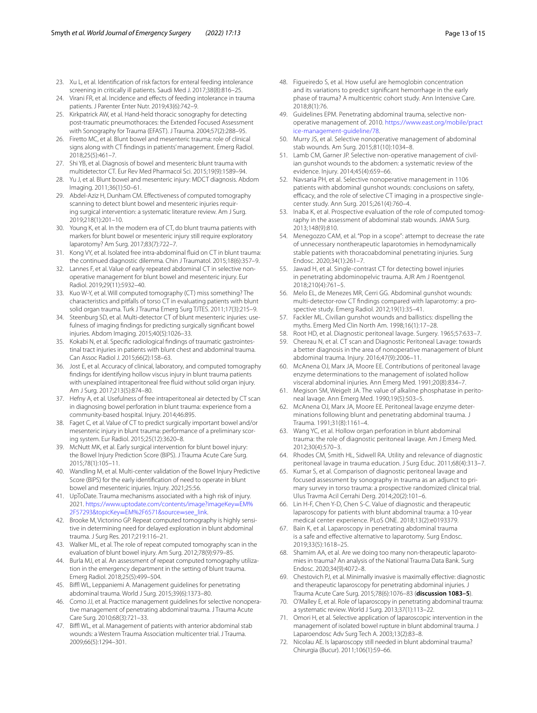- 23. Xu L, et al. Identifcation of risk factors for enteral feeding intolerance screening in critically ill patients. Saudi Med J. 2017;38(8):816–25.
- 24. Virani FR, et al. Incidence and effects of feeding intolerance in trauma patients. J Parenter Enter Nutr. 2019;43(6):742–9.
- 25. Kirkpatrick AW, et al. Hand-held thoracic sonography for detecting post-traumatic pneumothoraces: the Extended Focused Assessment with Sonography for Trauma (EFAST). J Trauma. 2004;57(2):288–95.
- 26. Firetto MC, et al. Blunt bowel and mesenteric trauma: role of clinical signs along with CT fndings in patients' management. Emerg Radiol. 2018;25(5):461–7.
- 27. Shi YB, et al. Diagnosis of bowel and mesenteric blunt trauma with multidetector CT. Eur Rev Med Pharmacol Sci. 2015;19(9):1589–94.
- 28. Yu J, et al. Blunt bowel and mesenteric injury: MDCT diagnosis. Abdom Imaging. 2011;36(1):50–61.
- 29. Abdel-Aziz H, Dunham CM. Efectiveness of computed tomography scanning to detect blunt bowel and mesenteric injuries requiring surgical intervention: a systematic literature review. Am J Surg. 2019;218(1):201–10.
- 30. Young K, et al. In the modern era of CT, do blunt trauma patients with markers for blunt bowel or mesenteric injury still require exploratory laparotomy? Am Surg. 2017;83(7):722–7.
- 31. Kong VY, et al. Isolated free intra-abdominal fuid on CT in blunt trauma: the continued diagnostic dilemma. Chin J Traumatol. 2015;18(6):357–9.
- 32. Lannes F, et al. Value of early repeated abdominal CT in selective nonoperative management for blunt bowel and mesenteric injury. Eur Radiol. 2019;29(11):5932–40.
- 33. Kuo W-Y, et al. Will computed tomography (CT) miss something? The characteristics and pitfalls of torso CT in evaluating patients with blunt solid organ trauma. Turk J Trauma Emerg Surg TJTES. 2011;17(3):215–9.
- 34. Steenburg SD, et al. Multi-detector CT of blunt mesenteric injuries: usefulness of imaging fndings for predicting surgically signifcant bowel injuries. Abdom Imaging. 2015;40(5):1026–33.
- 35. Kokabi N, et al. Specific radiological findings of traumatic gastrointestinal tract injuries in patients with blunt chest and abdominal trauma. Can Assoc Radiol J. 2015;66(2):158–63.
- 36. Jost E, et al. Accuracy of clinical, laboratory, and computed tomography fndings for identifying hollow viscus injury in blunt trauma patients with unexplained intraperitoneal free fuid without solid organ injury. Am J Surg. 2017;213(5):874–80.
- 37. Hefny A, et al. Usefulness of free intraperitoneal air detected by CT scan in diagnosing bowel perforation in blunt trauma: experience from a community-based hospital. Injury. 2014;46:895.
- 38. Faget C, et al. Value of CT to predict surgically important bowel and/or mesenteric injury in blunt trauma: performance of a preliminary scoring system. Eur Radiol. 2015;25(12):3620–8.
- 39. McNutt MK, et al. Early surgical intervention for blunt bowel injury: the Bowel Injury Prediction Score (BIPS). J Trauma Acute Care Surg. 2015;78(1):105–11.
- 40. Wandling M, et al. Multi-center validation of the Bowel Injury Predictive Score (BIPS) for the early identifcation of need to operate in blunt bowel and mesenteric injuries. Injury. 2021;25:56.
- 41. UpToDate. Trauma mechanisms associated with a high risk of injury. 2021. https://www.uptodate.com/contents/image?imageKey=EM% 2F57293&topicKey=EM%2F6571&source=see\_link.
- 42. Brooke M, Victorino GP. Repeat computed tomography is highly sensitive in determining need for delayed exploration in blunt abdominal trauma. J Surg Res. 2017;219:116–21.
- 43. Walker ML, et al. The role of repeat computed tomography scan in the evaluation of blunt bowel injury. Am Surg. 2012;78(9):979–85.
- 44. Burla MJ, et al. An assessment of repeat computed tomography utilization in the emergency department in the setting of blunt trauma. Emerg Radiol. 2018;25(5):499–504.
- 45. Biffl WL, Leppaniemi A. Management guidelines for penetrating abdominal trauma. World J Surg. 2015;39(6):1373–80.
- 46. Como JJ, et al. Practice management quidelines for selective nonoperative management of penetrating abdominal trauma. J Trauma Acute Care Surg. 2010;68(3):721–33.
- 47. Biffl WL, et al. Management of patients with anterior abdominal stab wounds: a Western Trauma Association multicenter trial. J Trauma. 2009;66(5):1294–301.
- 48. Figueiredo S, et al. How useful are hemoglobin concentration and its variations to predict signifcant hemorrhage in the early phase of trauma? A multicentric cohort study. Ann Intensive Care. 2018;8(1):76.
- 49. Guidelines EPM. Penetrating abdominal trauma, selective nonoperative management of. 2010. https://www.east.org/mobile/pract ice-management-guideline/78.
- 50. Murry JS, et al. Selective nonoperative management of abdominal stab wounds. Am Surg. 2015;81(10):1034–8.
- 51. Lamb CM, Garner JP. Selective non-operative management of civilian gunshot wounds to the abdomen: a systematic review of the evidence. Injury. 2014;45(4):659–66.
- 52. Navsaria PH, et al. Selective nonoperative management in 1106 patients with abdominal gunshot wounds: conclusions on safety, efficacy, and the role of selective CT imaging in a prospective singlecenter study. Ann Surg. 2015;261(4):760–4.
- 53. Inaba K, et al. Prospective evaluation of the role of computed tomography in the assessment of abdominal stab wounds. JAMA Surg. 2013;148(9):810.
- 54. Menegozzo CAM, et al. "Pop in a scope": attempt to decrease the rate of unnecessary nontherapeutic laparotomies in hemodynamically stable patients with thoracoabdominal penetrating injuries. Surg Endosc. 2020;34(1):261–7.
- 55. Jawad H, et al. Single-contrast CT for detecting bowel injuries in penetrating abdominopelvic trauma. AJR Am J Roentgenol. 2018;210(4):761–5.
- 56. Melo EL, de Menezes MR, Cerri GG. Abdominal gunshot wounds: multi-detector-row CT findings compared with laparotomy: a prospective study. Emerg Radiol. 2012;19(1):35–41.
- 57. Fackler ML. Civilian gunshot wounds and ballistics: dispelling the myths. Emerg Med Clin North Am. 1998;16(1):17–28.
- 58. Root HD, et al. Diagnostic peritoneal lavage. Surgery. 1965;57:633–7.
- 59. Chereau N, et al. CT scan and Diagnostic Peritoneal Lavage: towards a better diagnosis in the area of nonoperative management of blunt abdominal trauma. Injury. 2016;47(9):2006–11.
- 60. McAnena OJ, Marx JA, Moore EE. Contributions of peritoneal lavage enzyme determinations to the management of isolated hollow visceral abdominal injuries. Ann Emerg Med. 1991;20(8):834–7.
- 61. Megison SM, Weigelt JA. The value of alkaline phosphatase in peritoneal lavage. Ann Emerg Med. 1990;19(5):503–5.
- 62. McAnena OJ, Marx JA, Moore EE. Peritoneal lavage enzyme deter‑ minations following blunt and penetrating abdominal trauma. J Trauma. 1991;31(8):1161–4.
- 63. Wang YC, et al. Hollow organ perforation in blunt abdominal trauma: the role of diagnostic peritoneal lavage. Am J Emerg Med. 2012;30(4):570–3.
- 64. Rhodes CM, Smith HL, Sidwell RA. Utility and relevance of diagnostic peritoneal lavage in trauma education. J Surg Educ. 2011;68(4):313–7.
- 65. Kumar S, et al. Comparison of diagnostic peritoneal lavage and focused assessment by sonography in trauma as an adjunct to primary survey in torso trauma: a prospective randomized clinical trial. Ulus Travma Acil Cerrahi Derg. 2014;20(2):101–6.
- 66. Lin H-F, Chen Y-D, Chen S-C. Value of diagnostic and therapeutic laparoscopy for patients with blunt abdominal trauma: a 10-year medical center experience. PLoS ONE. 2018;13(2):e0193379.
- 67. Bain K, et al. Laparoscopy in penetrating abdominal trauma is a safe and efective alternative to laparotomy. Surg Endosc. 2019;33(5):1618–25.
- 68. Shamim AA, et al. Are we doing too many non-therapeutic laparotomies in trauma? An analysis of the National Trauma Data Bank. Surg Endosc. 2020;34(9):4072–8.
- 69. Chestovich PJ, et al. Minimally invasive is maximally efective: diagnostic and therapeutic laparoscopy for penetrating abdominal injuries. J Trauma Acute Care Surg. 2015;78(6):1076–83 (**discussion 1083–5**).
- 70. O'Malley E, et al. Role of laparoscopy in penetrating abdominal trauma: a systematic review. World J Surg. 2013;37(1):113–22.
- 71. Omori H, et al. Selective application of laparoscopic intervention in the management of isolated bowel rupture in blunt abdominal trauma. J Laparoendosc Adv Surg Tech A. 2003;13(2):83–8.
- 72. Nicolau AE. Is laparoscopy still needed in blunt abdominal trauma? Chirurgia (Bucur). 2011;106(1):59–66.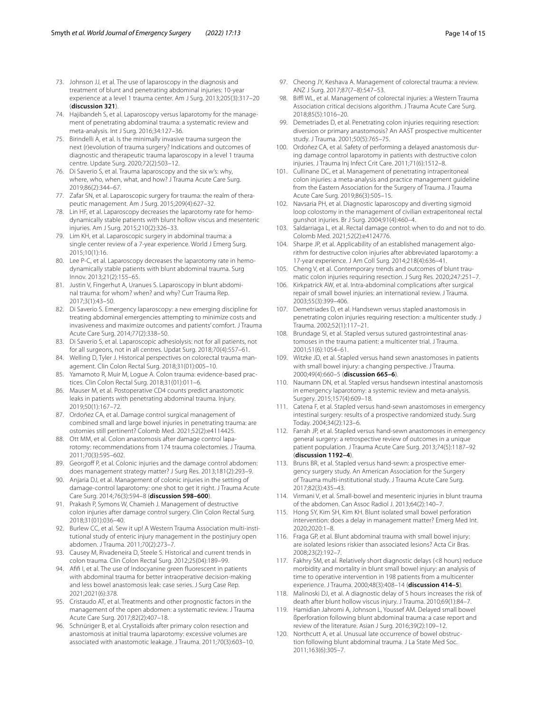- 73. Johnson JJ, et al. The use of laparoscopy in the diagnosis and treatment of blunt and penetrating abdominal injuries: 10-year experience at a level 1 trauma center. Am J Surg. 2013;205(3):317–20 (**discussion 321**).
- 74. Hajibandeh S, et al. Laparoscopy versus laparotomy for the management of penetrating abdominal trauma: a systematic review and meta-analysis. Int J Surg. 2016;34:127–36.
- 75. Birindelli A, et al. Is the minimally invasive trauma surgeon the next (r)evolution of trauma surgery? Indications and outcomes of diagnostic and therapeutic trauma laparoscopy in a level 1 trauma centre. Update Surg. 2020;72(2):503–12.
- 76. Di Saverio S, et al. Trauma laparoscopy and the six w's: why, where, who, when, what, and how? J Trauma Acute Care Surg. 2019;86(2):344–67.
- 77. Zafar SN, et al. Laparoscopic surgery for trauma: the realm of therapeutic management. Am J Surg. 2015;209(4):627–32.
- 78. Lin HF, et al. Laparoscopy decreases the laparotomy rate for hemodynamically stable patients with blunt hollow viscus and mesenteric injuries. Am J Surg. 2015;210(2):326–33.
- 79. Lim KH, et al. Laparoscopic surgery in abdominal trauma: a single center review of a 7-year experience. World J Emerg Surg. 2015;10(1):16.
- 80. Lee P-C, et al. Laparoscopy decreases the laparotomy rate in hemodynamically stable patients with blunt abdominal trauma. Surg Innov. 2013;21(2):155–65.
- 81. Justin V, Fingerhut A, Uranues S. Laparoscopy in blunt abdominal trauma: for whom? when? and why? Curr Trauma Rep. 2017;3(1):43–50.
- 82. Di Saverio S. Emergency laparoscopy: a new emerging discipline for treating abdominal emergencies attempting to minimize costs and invasiveness and maximize outcomes and patients' comfort. J Trauma Acute Care Surg. 2014;77(2):338–50.
- 83. Di Saverio S, et al. Laparoscopic adhesiolysis: not for all patients, not for all surgeons, not in all centres. Updat Surg. 2018;70(4):557–61.
- 84. Welling D, Tyler J. Historical perspectives on colorectal trauma management. Clin Colon Rectal Surg. 2018;31(01):005–10.
- 85. Yamamoto R, Muir M, Logue A. Colon trauma: evidence-based practices. Clin Colon Rectal Surg. 2018;31(01):011–6.
- 86. Mauser M, et al. Postoperative CD4 counts predict anastomotic leaks in patients with penetrating abdominal trauma. Injury. 2019;50(1):167–72.
- 87. Ordoñez CA, et al. Damage control surgical management of combined small and large bowel injuries in penetrating trauma: are ostomies still pertinent? Colomb Med. 2021;52(2):e4114425.
- 88. Ott MM, et al. Colon anastomosis after damage control laparotomy: recommendations from 174 trauma colectomies. J Trauma. 2011;70(3):595–602.
- 89. Georgoff P, et al. Colonic injuries and the damage control abdomen: does management strategy matter? J Surg Res. 2013;181(2):293–9.
- 90. Anjaria DJ, et al. Management of colonic injuries in the setting of damage-control laparotomy: one shot to get it right. J Trauma Acute Care Surg. 2014;76(3):594–8 (**discussion 598–600**).
- 91. Prakash P, Symons W, Chamieh J. Management of destructive colon injuries after damage control surgery. Clin Colon Rectal Surg. 2018;31(01):036–40.
- 92. Burlew CC, et al. Sew it up! A Western Trauma Association multi-institutional study of enteric injury management in the postinjury open abdomen. J Trauma. 2011;70(2):273–7.
- 93. Causey M, Rivadeneira D, Steele S. Historical and current trends in colon trauma. Clin Colon Rectal Surg. 2012;25(04):189–99.
- 94. Afifi I, et al. The use of Indocyanine green fluorescent in patients with abdominal trauma for better intraoperative decision-making and less bowel anastomosis leak: case series. J Surg Case Rep. 2021;2021(6):378.
- 95. Cristaudo AT, et al. Treatments and other prognostic factors in the management of the open abdomen: a systematic review. J Trauma Acute Care Surg. 2017;82(2):407–18.
- 96. Schnüriger B, et al. Crystalloids after primary colon resection and anastomosis at initial trauma laparotomy: excessive volumes are associated with anastomotic leakage. J Trauma. 2011;70(3):603–10.
- 97. Cheong JY, Keshava A. Management of colorectal trauma: a review. ANZ J Surg. 2017;87(7–8):547–53.
- 98. Biffl WL, et al. Management of colorectal injuries: a Western Trauma Association critical decisions algorithm. J Trauma Acute Care Surg. 2018;85(5):1016–20.
- 99. Demetriades D, et al. Penetrating colon injuries requiring resection: diversion or primary anastomosis? An AAST prospective multicenter study. J Trauma. 2001;50(5):765–75.
- 100. Ordoñez CA, et al. Safety of performing a delayed anastomosis during damage control laparotomy in patients with destructive colon injuries. J Trauma Inj Infect Crit Care. 2011;71(6):1512–8.
- 101. Cullinane DC, et al. Management of penetrating intraperitoneal colon injuries: a meta-analysis and practice management guideline from the Eastern Association for the Surgery of Trauma. J Trauma Acute Care Surg. 2019;86(3):505–15.
- 102. Navsaria PH, et al. Diagnostic laparoscopy and diverting sigmoid loop colostomy in the management of civilian extraperitoneal rectal gunshot injuries. Br J Surg. 2004;91(4):460–4.
- 103. Saldarriaga L, et al. Rectal damage control: when to do and not to do. Colomb Med. 2021;52(2):e4124776.
- 104. Sharpe JP, et al. Applicability of an established management algorithm for destructive colon injuries after abbreviated laparotomy: a 17-year experience. J Am Coll Surg. 2014;218(4):636–41.
- 105. Cheng V, et al. Contemporary trends and outcomes of blunt traumatic colon injuries requiring resection. J Surg Res. 2020;247:251–7.
- 106. Kirkpatrick AW, et al. Intra-abdominal complications after surgical repair of small bowel injuries: an international review. J Trauma. 2003;55(3):399–406.
- 107. Demetriades D, et al. Handsewn versus stapled anastomosis in penetrating colon injuries requiring resection: a multicenter study. J Trauma. 2002;52(1):117–21.
- 108. Brundage SI, et al. Stapled versus sutured gastrointestinal anastomoses in the trauma patient: a multicenter trial. J Trauma. 2001;51(6):1054–61.
- 109. Witzke JD, et al. Stapled versus hand sewn anastomoses in patients with small bowel injury: a changing perspective. J Trauma. 2000;49(4):660–5 (**discussion 665–6**).
- 110. Naumann DN, et al. Stapled versus handsewn intestinal anastomosis in emergency laparotomy: a systemic review and meta-analysis. Surgery. 2015;157(4):609–18.
- 111. Catena F, et al. Stapled versus hand-sewn anastomoses in emergency intestinal surgery: results of a prospective randomized study. Surg Today. 2004;34(2):123–6.
- 112. Farrah JP, et al. Stapled versus hand-sewn anastomoses in emergency general surgery: a retrospective review of outcomes in a unique patient population. J Trauma Acute Care Surg. 2013;74(5):1187–92 (**discussion 1192–4**).
- 113. Bruns BR, et al. Stapled versus hand-sewn: a prospective emergency surgery study. An American Association for the Surgery of Trauma multi-institutional study. J Trauma Acute Care Surg. 2017;82(3):435–43.
- 114. Virmani V, et al. Small-bowel and mesenteric injuries in blunt trauma of the abdomen. Can Assoc Radiol J. 2013;64(2):140–7.
- 115. Hong SY, Kim SH, Kim KH. Blunt isolated small bowel perforation intervention: does a delay in management matter? Emerg Med Int. 2020;2020:1–8.
- 116. Fraga GP, et al. Blunt abdominal trauma with small bowel injury: are isolated lesions riskier than associated lesions? Acta Cir Bras. 2008;23(2):192–7.
- 117. Fakhry SM, et al. Relatively short diagnostic delays (<8 hours) reduce morbidity and mortality in blunt small bowel injury: an analysis of time to operative intervention in 198 patients from a multicenter experience. J Trauma. 2000;48(3):408–14 (**discussion 414–5**).
- 118. Malinoski DJ, et al. A diagnostic delay of 5 hours increases the risk of death after blunt hollow viscus injury. J Trauma. 2010;69(1):84–7.
- 119. Hamidian Jahromi A, Johnson L, Youssef AM. Delayed small bowel ßperforation following blunt abdominal trauma: a case report and review of the literature. Asian J Surg. 2016;39(2):109–12.
- 120. Northcutt A, et al. Unusual late occurrence of bowel obstruction following blunt abdominal trauma. J La State Med Soc. 2011;163(6):305–7.